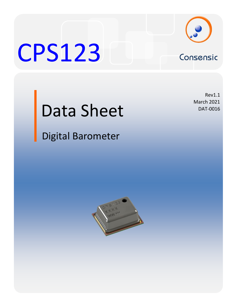

# CPS123 Consensic

Rev1.1 March 2021 DAT-0016

# Data Sheet

Digital Barometer

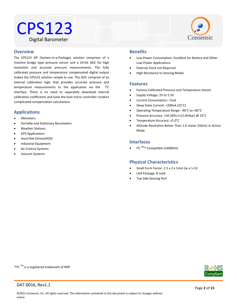# CPS123 Digital Barometer



### Water Resistant **Overview**

The CPS123 SIP (System-in-a-Package) solution comprises of a resistive bridge type pressure sensor and a 24-bit ADC for high resolution and accurate pressure measurements. The fully calibrated pressure and temperature compensated digital output makes the CPS123 solution simple to use. The ADC comprise of an internal calibration logic that provides accurate pressure and temperature measurements to the application via the I²C interface. There is no need to separately download internal calibration coefficients and have the host micro-controller conduct complicated compensation calculations.

# **Applications**

- Altimeters
- Portable and Stationary Barometers
- Weather Stations
- GPS Applications
- Hard Disk Drives(HDD)
- Industrial Equipment
- Air Control Systems
- Vacuum Systems

# **Benefits**

- Low Power Consumption. Excellent for Battery and Other Low-Power Applications
- External Clock not Required
- High Resistance to Sensing Media

# **Features**

- Factory Calibrated Pressure and Temperature Sensor
- Supply Voltage: 2V to 5.5V
- Current Consumption: <5uA
- Sleep State Current: <200nA (25°C)
- Operating Temperature Range: -40°C to +85°C
- Pressure Accuracy: <±0.2kPa (<±2.0mbar) @ 25°C
- Temperature Accuracy: ±1.0°C
- Altitude Resolution Better Than 1.0 meter (50cm) in Active Mode

# **Interfaces**

I²C TM\* Compatible (≤400kHz)

# **Physical Characteristics**

- Small Form Factor, 2.5 x 2 x 1mm (w x l x h)
- LGA Package, 8 Lead
- Top Side Sensing Port

\*I<sup>2</sup>C <sup>TM</sup> is a registered trademark of NXP

Compliar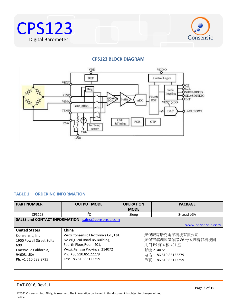



# **CPS123 BLOCK DIAGRAM**



# <span id="page-2-0"></span>**TABLE 1: ORDERING INFORMATION**

| <b>PART NUMBER</b>                                                                                                                         | <b>OUTPUT MODE</b>                                                                                                                                                                             | <b>OPERATION</b><br><b>MODE</b> | <b>PACKAGE</b>                                                                                                            |
|--------------------------------------------------------------------------------------------------------------------------------------------|------------------------------------------------------------------------------------------------------------------------------------------------------------------------------------------------|---------------------------------|---------------------------------------------------------------------------------------------------------------------------|
| CPS123                                                                                                                                     | ľС                                                                                                                                                                                             | Sleep                           | 8-Lead LGA                                                                                                                |
| <b>SALES and CONTACT INFORMATION</b>                                                                                                       | sales@consensic.com                                                                                                                                                                            |                                 |                                                                                                                           |
|                                                                                                                                            |                                                                                                                                                                                                |                                 | www.consensic.com                                                                                                         |
| <b>United States</b><br>Consensic, Inc.<br>1900 Powell Street, Suite<br>600<br>Emeryville California,<br>94608, USA<br>Ph: +1 510.588.8735 | China<br>Wuxi Consensic Electronics Co., Ltd.<br>No.86, Dicui Road, B5 Building,<br>Fourth Floor, Room 401,<br>Wuxi, Jiangsu Province, 214072<br>Ph: +86 510.85122279<br>Fax: +86 510.85122259 |                                 | 无锡康森斯克电子科技有限公司<br>无锡市滨湖区滴翠路 86 号太湖智谷科技园<br>北门 B5 栋 4 楼 401 室<br>邮编 214072<br>电话: +86 510.85122279<br>传真: +86 510.85122259 |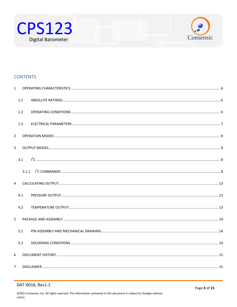



# **CONTENTS**

| $\mathbf{1}$   |     |  |
|----------------|-----|--|
|                | 1.1 |  |
|                | 1.2 |  |
|                | 1.3 |  |
| $\overline{2}$ |     |  |
| $\overline{3}$ |     |  |
|                | 3.1 |  |
|                |     |  |
| $\overline{4}$ |     |  |
|                | 4.1 |  |
|                | 4.2 |  |
| 5.             |     |  |
|                | 5.1 |  |
|                | 5.2 |  |
| 6              |     |  |
| $\overline{7}$ |     |  |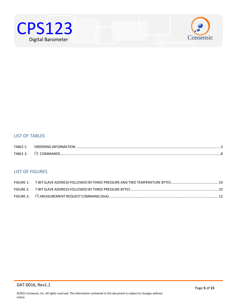



# LIST OF TABLES

| TABLE 1:           | ORDERING INFORMATION. |  |
|--------------------|-----------------------|--|
| TARI F $2^{\cdot}$ | <b>I'C COMMANDS</b>   |  |

# LIST OF FIGURES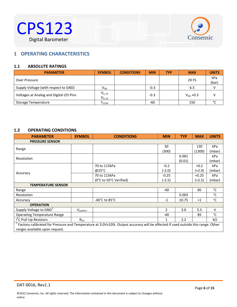



# <span id="page-5-0"></span> $B^{\text{max}}$ **1 OPERATING CHARACTERISTICS**

# <span id="page-5-1"></span>**1.1 ABSOLUTE RATINGS**

| <b>PARAMETER</b>                        | <b>SYMBOL</b>            | <b>CONDITIONS</b> | <b>MIN</b> | <b>TYP</b> | <b>MAX</b>       | <b>UNITS</b> |
|-----------------------------------------|--------------------------|-------------------|------------|------------|------------------|--------------|
| Over Pressure                           |                          |                   |            |            | 2X <sub>FS</sub> | kPa<br>(bar) |
| Supply Voltage (with respect to GND)    | V <sub>DD</sub>          |                   | $-0.3$     |            | 6.5              |              |
| Voltages at Analog and Digital I/O Pins | $V_{A\_10}$<br>$V_{DIO}$ |                   | $-0.3$     |            | $V_{DD} + 0.3$   |              |
| Storage Temperature                     | I <sub>STOR</sub>        |                   | $-60$      |            | 150              | °С           |

# <span id="page-5-2"></span>**1.2 OPERATING CONDITIONS**

| <b>PARAMETER</b>                                                                                                                | <b>SYMBOL</b>              | <b>CONDITIONS</b>                   | <b>MIN</b> | <b>TYP</b> | <b>MAX</b> | <b>UNITS</b> |
|---------------------------------------------------------------------------------------------------------------------------------|----------------------------|-------------------------------------|------------|------------|------------|--------------|
| <b>PRESSURE SENSOR</b>                                                                                                          |                            |                                     |            |            |            |              |
|                                                                                                                                 |                            |                                     | 30         |            | 130        | kPa          |
| Range                                                                                                                           |                            |                                     | (300)      |            | (1300)     | (mbar)       |
| Resolution                                                                                                                      |                            |                                     |            | 0.001      |            | kPa          |
|                                                                                                                                 |                            |                                     |            | (0.01)     |            | (mbar)       |
|                                                                                                                                 |                            | 70 to 115kPa                        | $-0.2$     |            | $+0.2$     | kPa          |
|                                                                                                                                 |                            | @25°C                               | (-2.0)     |            | $(+2.0)$   | (mbar)       |
| Accuracy                                                                                                                        |                            | 70 to 115kPa                        | $-0.25$    |            | $+0.25$    | kPa          |
|                                                                                                                                 |                            | (0°C to 50°C Verified)              | $(-2.5)$   |            | $(+2.5)$   | (mbar)       |
| <b>TEMPERATURE SENSOR</b>                                                                                                       |                            |                                     |            |            |            |              |
| Range                                                                                                                           |                            |                                     | -40        |            | 85         | °C           |
| Resolution                                                                                                                      |                            |                                     |            | 0.003      |            | °C           |
| Accuracy                                                                                                                        |                            | -40 $^{\circ}$ C to 85 $^{\circ}$ C | $-1$       | ±0.75      | $+1$       | °C           |
| <b>OPERATION</b>                                                                                                                |                            |                                     |            |            |            |              |
| Supply Voltage to GND <sup>1</sup>                                                                                              | <b>V</b> <sub>SUPPLY</sub> |                                     | 2          | 3.0        | 5.5        | $\vee$       |
| <b>Operating Temperature Range</b>                                                                                              |                            |                                     | -40        |            | 85         | °C           |
| I <sup>'</sup> C Pull-Up Resistors                                                                                              | $R_{PU}$                   |                                     | 1          | 2.2        |            | kΩ           |
| Factory calibrated for Pressure and Temperature at 3.0V±10%. Output accuracy will be affected if used outside this range. Other |                            |                                     |            |            |            |              |
| ranges available upon request.                                                                                                  |                            |                                     |            |            |            |              |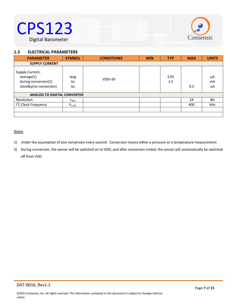

# <span id="page-6-0"></span>1.3 **ELECTRICAL PARAMETERS**

| <b>PARAMETER</b>                                                                | <b>SYMBOL</b>             | <b>CONDITIONS</b> | <b>MIN</b> | <b>TYP</b>  | <b>MAX</b> | <b>UNITS</b>   |
|---------------------------------------------------------------------------------|---------------------------|-------------------|------------|-------------|------------|----------------|
| <b>SUPPLY CURRENT</b>                                                           |                           |                   |            |             |            |                |
| Supply Current,<br>average(1)<br>during conversion(2)<br>standby(no conversion) | lavg<br>lsc<br><b>Iss</b> | $VDD=3V$          |            | 3.95<br>1.5 | 0.2        | μA<br>mA<br>uA |
| <b>ANALOG TO DIGITAL CONVERTER</b>                                              |                           |                   |            |             |            |                |
| Resolution                                                                      | $r_{ADC}$                 |                   |            |             | 24         | Bit            |
| I <sup>2</sup> C Clock Frequency                                                | $F_{C, I2C}$              |                   |            |             | 400        | kHz            |
|                                                                                 |                           |                   |            |             |            |                |
|                                                                                 |                           |                   |            |             |            |                |

## **Notes**

- 1) Under the assumption of one conversion every second. Conversion means either a pressure or a temperature measurement
- 2) During conversion, the sensor will be switched on to VDD, and after conversion ended, the sensor will automatically be switched off from VDD.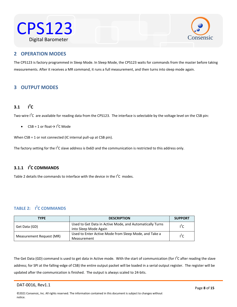



# <span id="page-7-0"></span>Water Resistant **2 OPERATION MODES**

The CPS123 is factory programmed in Sleep Mode. In Sleep Mode, the CPS123 waits for commands from the master before taking measurements. After it receives a MR command, it runs a full measurement, and then turns into sleep mode again.

# <span id="page-7-1"></span>**3 OUTPUT MODES**

### <span id="page-7-2"></span>**3.1 I 2 C**

Two-wire  $I^2C$  are available for reading data from the CPS123. The interface is selectable by the voltage level on the CSB pin:

•  $CSB = 1$  or float $\rightarrow$  l<sup>2</sup>C Mode

When CSB = 1 or not connected (IC internal pull-up at CSB pin).

The factory setting for the I<sup>2</sup>C slave address is 0x6D and the communication is restricted to this address only.

# <span id="page-7-3"></span>**3.1.1 I 2 C COMMANDS**

Table 2 details the commands to interface with the device in the  $I^2C$  modes.

# <span id="page-7-4"></span>**TABLE 2: I 2 C COMMANDS**

| <b>TYPE</b>              | <b>DESCRIPTION</b>                                                                | <b>SUPPORT</b> |
|--------------------------|-----------------------------------------------------------------------------------|----------------|
| Get Data (GD)            | Used to Get Data in Active Mode, and Automatically Turns<br>into Sleep Mode Again | $I^2C$         |
| Measurement Request (MR) | Used to Enter Active Mode from Sleep Mode, and Take a<br>Measurement              | $I^2C$         |

The Get Data (GD) command is used to get data in Active mode. With the start of communication (for I<sup>2</sup>C after reading the slave address; for SPI at the falling-edge of CSB) the entire output packet will be loaded in a serial output register. The register will be updated after the communication is finished. The output is always scaled to 24-bits.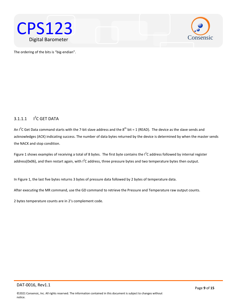



The ordering of the bits is "big-endian".

### $3.1.1.1$ <sup>2</sup>C GET DATA

An I<sup>2</sup>C Get Data command starts with the 7-bit slave address and the  $8^{th}$  bit = 1 (READ). The device as the slave sends and acknowledges (ACK) indicating success. The number of data bytes returned by the device is determined by when the master sends the NACK and stop condition.

Figure 1 shows examples of receiving a total of 8 bytes. The first byte contains the  $I^2C$  address followed by internal register address(0x06), and then restart again, with  $I^2C$  address, three pressure bytes and two temperature bytes then output.

In Figure 1, the last five bytes returns 3 bytes of pressure data followed by 2 bytes of temperature data.

After executing the MR command, use the GD command to retrieve the Pressure and Temperature raw output counts.

2 bytes temperature counts are in 2's complement code.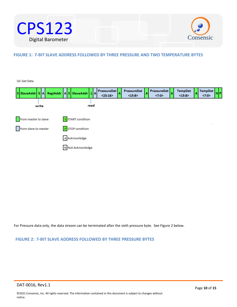



# **FIGURE 1: 7-BIT SLAVE ADDRESS FOLLOWED BY THREE PRESSURE AND TWO TEMPERATURE BYTES**

I2C Get Data

| SSIaveAddr 0 A RegiAddr AS SlaveAddr 1 A |                   | <b>PressureDat</b><br>I٨<br>< 23:16 | PressureDat<br>$\mathbf{A}$<br><15:8> | <b>PressureDat</b><br>İΑ<br><7:0> | <b>TempDat</b><br>$\Lambda$<br><15:8> | <b>TempDat</b><br>\il D<br>$\langle 7:0 \rangle$ |
|------------------------------------------|-------------------|-------------------------------------|---------------------------------------|-----------------------------------|---------------------------------------|--------------------------------------------------|
| write                                    | read              |                                     |                                       |                                   |                                       |                                                  |
| from master to slave                     | S START condition |                                     |                                       |                                   |                                       |                                                  |
| from slave to master                     | PSTOP condition   |                                     |                                       |                                   |                                       |                                                  |
|                                          | A Acknowledge     |                                     |                                       |                                   |                                       |                                                  |
|                                          | N Not Acknowledge |                                     |                                       |                                   |                                       |                                                  |
|                                          |                   |                                     |                                       |                                   |                                       |                                                  |

For Pressure data only, the data stream can be terminated after the sixth pressure byte. See Figure 2 below.

# **FIGURE 2: 7-BIT SLAVE ADDRESS FOLLOWED BY THREE PRESSURE BYTES**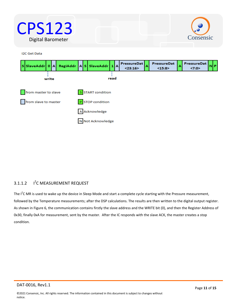



**I2C Get Data** 



### $3.1.1.2$ <sup>2</sup>C MEASUREMENT REQUEST

The I<sup>2</sup>C MR is used to wake up the device in Sleep Mode and start a complete cycle starting with the Pressure measurement, followed by the Temperature measurements; after the DSP calculations. The results are then written to the digital output register. As shown in Figure 6, the communication contains firstly the slave address and the WRITE bit (0), and then the Register Address of 0x30, finally 0xA for measurement, sent by the master. After the IC responds with the slave ACK, the master creates a stop condition.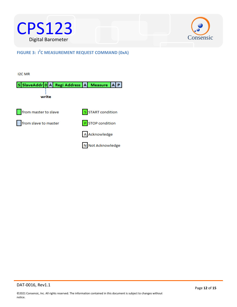



**FIGURE 3: I<sup>2</sup>C MEASUREMENT REQUEST COMMAND (0xA)** 

**I2C MR** 

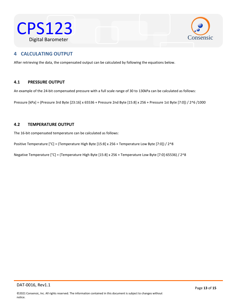



# <span id="page-12-0"></span> $\mathcal{L}$ Western Resistant **4 CALCULATING OUTPUT**

After retrieving the data, the compensated output can be calculated by following the equations below.

# <span id="page-12-1"></span>**4.1 PRESSURE OUTPUT**

An example of the 24-bit compensated pressure with a full scale range of 30 to 130kPa can be calculated as follows:

Pressure [kPa] = (Pressure 3rd Byte [23:16] x 65536 + Pressure 2nd Byte [15:8] x 256 + Pressure 1st Byte [7:0]) / 2^6 /1000

# <span id="page-12-2"></span>**4.2 TEMPERATURE OUTPUT**

The 16-bit compensated temperature can be calculated as follows:

Positive Temperature [°C] = (Temperature High Byte [15:8] x 256 + Temperature Low Byte [7:0]) / 2^8

Negative Temperature [°C] = (Temperature High Byte [15:8] x 256 + Temperature Low Byte [7:0]-65536) / 2^8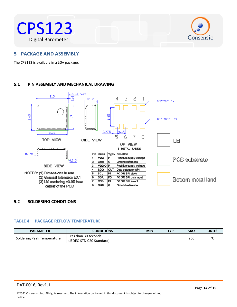



# <span id="page-13-0"></span> $W$ a of a up a col **5 PACKAGE AND ASSEMBLY**

The CPS123 is available in a LGA package.

# <span id="page-13-1"></span>**5.1 PIN ASSEMBLY AND MECHANICAL DRAWING**



# <span id="page-13-2"></span>**5.2 SOLDERING CONDITIONS**

# **TABLE 4: PACKAGE REFLOW TEMPERATURE**

| <b>PARAMETER</b>           | <b>CONDITIONS</b>        | <b>MIN</b> | <b>TYP</b> | <b>MAX</b> | <b>UNITS</b> |
|----------------------------|--------------------------|------------|------------|------------|--------------|
| Soldering Peak Temperature | Less than 30 seconds     |            |            | 260        | $\sim$       |
|                            | (JEDEC-STD-020 Standard) |            |            |            |              |